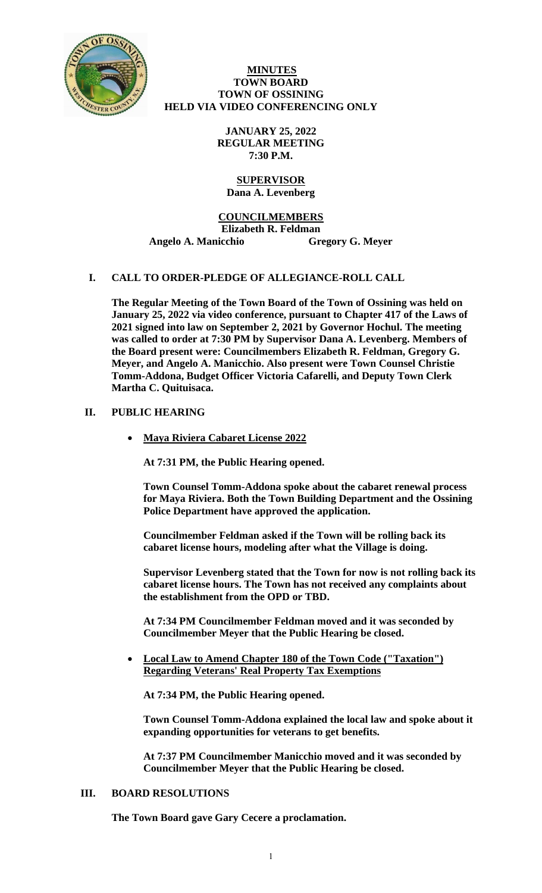

### **MINUTES TOWN BOARD TOWN OF OSSINING HELD VIA VIDEO CONFERENCING ONLY**

**JANUARY 25, 2022 REGULAR MEETING 7:30 P.M.**

#### **SUPERVISOR Dana A. Levenberg**

### **COUNCILMEMBERS**

**Elizabeth R. Feldman** 

**Angelo A. Manicchio Gregory G. Meyer**

# **I. CALL TO ORDER-PLEDGE OF ALLEGIANCE-ROLL CALL**

**The Regular Meeting of the Town Board of the Town of Ossining was held on January 25, 2022 via video conference, pursuant to Chapter 417 of the Laws of 2021 signed into law on September 2, 2021 by Governor Hochul. The meeting was called to order at 7:30 PM by Supervisor Dana A. Levenberg. Members of the Board present were: Councilmembers Elizabeth R. Feldman, Gregory G. Meyer, and Angelo A. Manicchio. Also present were Town Counsel Christie Tomm-Addona, Budget Officer Victoria Cafarelli, and Deputy Town Clerk Martha C. Quituisaca.** 

## **II. PUBLIC HEARING**

• **Maya Riviera Cabaret License 2022**

**At 7:31 PM, the Public Hearing opened.** 

**Town Counsel Tomm-Addona spoke about the cabaret renewal process for Maya Riviera. Both the Town Building Department and the Ossining Police Department have approved the application.** 

**Councilmember Feldman asked if the Town will be rolling back its cabaret license hours, modeling after what the Village is doing.**

**Supervisor Levenberg stated that the Town for now is not rolling back its cabaret license hours. The Town has not received any complaints about the establishment from the OPD or TBD.**

**At 7:34 PM Councilmember Feldman moved and it was seconded by Councilmember Meyer that the Public Hearing be closed.** 

• **Local Law to Amend Chapter 180 of the Town Code ("Taxation") Regarding Veterans' Real Property Tax Exemptions**

**At 7:34 PM, the Public Hearing opened.** 

**Town Counsel Tomm-Addona explained the local law and spoke about it expanding opportunities for veterans to get benefits.**

**At 7:37 PM Councilmember Manicchio moved and it was seconded by Councilmember Meyer that the Public Hearing be closed.** 

### **III. BOARD RESOLUTIONS**

**The Town Board gave Gary Cecere a proclamation.**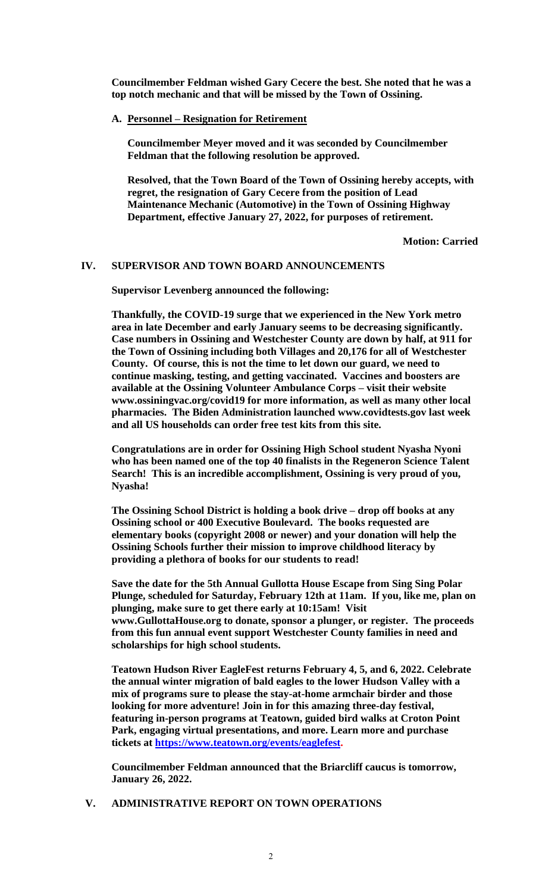**Councilmember Feldman wished Gary Cecere the best. She noted that he was a top notch mechanic and that will be missed by the Town of Ossining.**

### **A. Personnel – Resignation for Retirement**

**Councilmember Meyer moved and it was seconded by Councilmember Feldman that the following resolution be approved.**

**Resolved, that the Town Board of the Town of Ossining hereby accepts, with regret, the resignation of Gary Cecere from the position of Lead Maintenance Mechanic (Automotive) in the Town of Ossining Highway Department, effective January 27, 2022, for purposes of retirement.**

**Motion: Carried**

### **IV. SUPERVISOR AND TOWN BOARD ANNOUNCEMENTS**

**Supervisor Levenberg announced the following:**

**Thankfully, the COVID-19 surge that we experienced in the New York metro area in late December and early January seems to be decreasing significantly. Case numbers in Ossining and Westchester County are down by half, at 911 for the Town of Ossining including both Villages and 20,176 for all of Westchester County. Of course, this is not the time to let down our guard, we need to continue masking, testing, and getting vaccinated. Vaccines and boosters are available at the Ossining Volunteer Ambulance Corps – visit their website www.ossiningvac.org/covid19 for more information, as well as many other local pharmacies. The Biden Administration launched www.covidtests.gov last week and all US households can order free test kits from this site.** 

**Congratulations are in order for Ossining High School student Nyasha Nyoni who has been named one of the top 40 finalists in the Regeneron Science Talent Search! This is an incredible accomplishment, Ossining is very proud of you, Nyasha!** 

**The Ossining School District is holding a book drive – drop off books at any Ossining school or 400 Executive Boulevard. The books requested are elementary books (copyright 2008 or newer) and your donation will help the Ossining Schools further their mission to improve childhood literacy by providing a plethora of books for our students to read!** 

**Save the date for the 5th Annual Gullotta House Escape from Sing Sing Polar Plunge, scheduled for Saturday, February 12th at 11am. If you, like me, plan on plunging, make sure to get there early at 10:15am! Visit www.GullottaHouse.org to donate, sponsor a plunger, or register. The proceeds from this fun annual event support Westchester County families in need and scholarships for high school students.** 

**Teatown Hudson River EagleFest returns February 4, 5, and 6, 2022. Celebrate the annual winter migration of bald eagles to the lower Hudson Valley with a mix of programs sure to please the stay-at-home armchair birder and those looking for more adventure! Join in for this amazing three-day festival, featuring in-person programs at Teatown, guided bird walks at Croton Point Park, engaging virtual presentations, and more. Learn more and purchase tickets at [https://www.teatown.org/events/eaglefest.](https://www.teatown.org/events/eaglefest)**

**Councilmember Feldman announced that the Briarcliff caucus is tomorrow, January 26, 2022.** 

### **V. ADMINISTRATIVE REPORT ON TOWN OPERATIONS**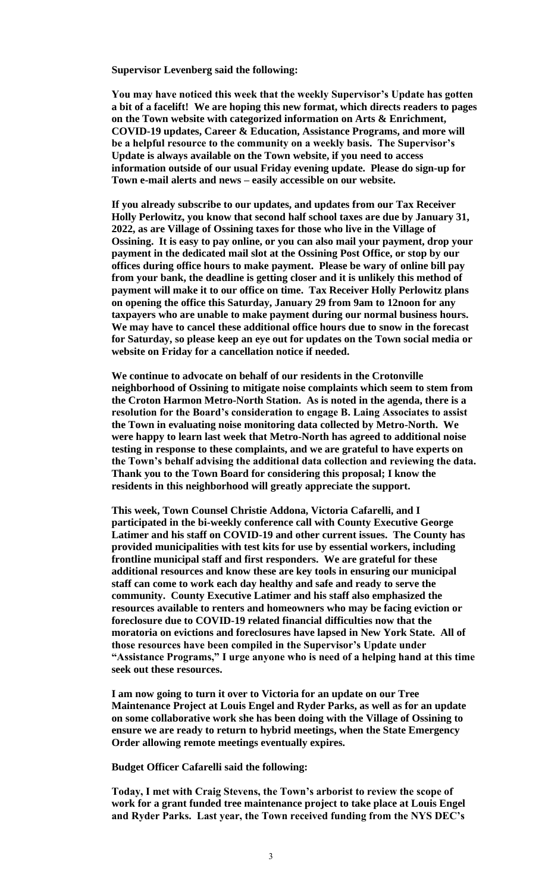**Supervisor Levenberg said the following:**

**You may have noticed this week that the weekly Supervisor's Update has gotten a bit of a facelift! We are hoping this new format, which directs readers to pages on the Town website with categorized information on Arts & Enrichment, COVID-19 updates, Career & Education, Assistance Programs, and more will be a helpful resource to the community on a weekly basis. The Supervisor's Update is always available on the Town website, if you need to access information outside of our usual Friday evening update. Please do sign-up for Town e-mail alerts and news – easily accessible on our website.** 

**If you already subscribe to our updates, and updates from our Tax Receiver Holly Perlowitz, you know that second half school taxes are due by January 31, 2022, as are Village of Ossining taxes for those who live in the Village of Ossining. It is easy to pay online, or you can also mail your payment, drop your payment in the dedicated mail slot at the Ossining Post Office, or stop by our offices during office hours to make payment. Please be wary of online bill pay from your bank, the deadline is getting closer and it is unlikely this method of payment will make it to our office on time. Tax Receiver Holly Perlowitz plans on opening the office this Saturday, January 29 from 9am to 12noon for any taxpayers who are unable to make payment during our normal business hours. We may have to cancel these additional office hours due to snow in the forecast for Saturday, so please keep an eye out for updates on the Town social media or website on Friday for a cancellation notice if needed.** 

**We continue to advocate on behalf of our residents in the Crotonville neighborhood of Ossining to mitigate noise complaints which seem to stem from the Croton Harmon Metro-North Station. As is noted in the agenda, there is a resolution for the Board's consideration to engage B. Laing Associates to assist the Town in evaluating noise monitoring data collected by Metro-North. We were happy to learn last week that Metro-North has agreed to additional noise testing in response to these complaints, and we are grateful to have experts on the Town's behalf advising the additional data collection and reviewing the data. Thank you to the Town Board for considering this proposal; I know the residents in this neighborhood will greatly appreciate the support.** 

**This week, Town Counsel Christie Addona, Victoria Cafarelli, and I participated in the bi-weekly conference call with County Executive George Latimer and his staff on COVID-19 and other current issues. The County has provided municipalities with test kits for use by essential workers, including frontline municipal staff and first responders. We are grateful for these additional resources and know these are key tools in ensuring our municipal staff can come to work each day healthy and safe and ready to serve the community. County Executive Latimer and his staff also emphasized the resources available to renters and homeowners who may be facing eviction or foreclosure due to COVID-19 related financial difficulties now that the moratoria on evictions and foreclosures have lapsed in New York State. All of those resources have been compiled in the Supervisor's Update under "Assistance Programs," I urge anyone who is need of a helping hand at this time seek out these resources.** 

**I am now going to turn it over to Victoria for an update on our Tree Maintenance Project at Louis Engel and Ryder Parks, as well as for an update on some collaborative work she has been doing with the Village of Ossining to ensure we are ready to return to hybrid meetings, when the State Emergency Order allowing remote meetings eventually expires.**

**Budget Officer Cafarelli said the following:**

**Today, I met with Craig Stevens, the Town's arborist to review the scope of work for a grant funded tree maintenance project to take place at Louis Engel and Ryder Parks. Last year, the Town received funding from the NYS DEC's**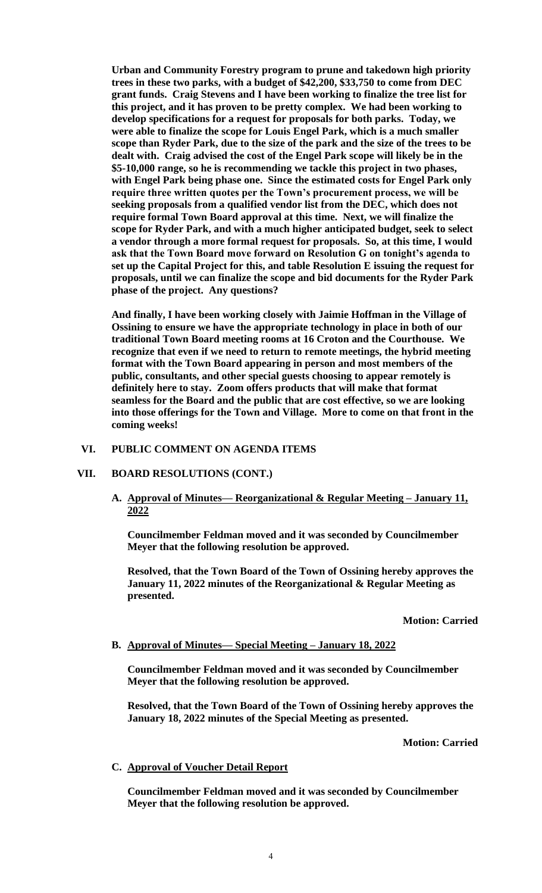**Urban and Community Forestry program to prune and takedown high priority trees in these two parks, with a budget of \$42,200, \$33,750 to come from DEC grant funds. Craig Stevens and I have been working to finalize the tree list for this project, and it has proven to be pretty complex. We had been working to develop specifications for a request for proposals for both parks. Today, we were able to finalize the scope for Louis Engel Park, which is a much smaller scope than Ryder Park, due to the size of the park and the size of the trees to be dealt with. Craig advised the cost of the Engel Park scope will likely be in the \$5-10,000 range, so he is recommending we tackle this project in two phases, with Engel Park being phase one. Since the estimated costs for Engel Park only require three written quotes per the Town's procurement process, we will be seeking proposals from a qualified vendor list from the DEC, which does not require formal Town Board approval at this time. Next, we will finalize the scope for Ryder Park, and with a much higher anticipated budget, seek to select a vendor through a more formal request for proposals. So, at this time, I would ask that the Town Board move forward on Resolution G on tonight's agenda to set up the Capital Project for this, and table Resolution E issuing the request for proposals, until we can finalize the scope and bid documents for the Ryder Park phase of the project. Any questions?** 

**And finally, I have been working closely with Jaimie Hoffman in the Village of Ossining to ensure we have the appropriate technology in place in both of our traditional Town Board meeting rooms at 16 Croton and the Courthouse. We recognize that even if we need to return to remote meetings, the hybrid meeting format with the Town Board appearing in person and most members of the public, consultants, and other special guests choosing to appear remotely is definitely here to stay. Zoom offers products that will make that format seamless for the Board and the public that are cost effective, so we are looking into those offerings for the Town and Village. More to come on that front in the coming weeks!**

#### **VI. PUBLIC COMMENT ON AGENDA ITEMS**

#### **VII. BOARD RESOLUTIONS (CONT.)**

**A. Approval of Minutes— Reorganizational & Regular Meeting – January 11, 2022**

**Councilmember Feldman moved and it was seconded by Councilmember Meyer that the following resolution be approved.**

**Resolved, that the Town Board of the Town of Ossining hereby approves the January 11, 2022 minutes of the Reorganizational & Regular Meeting as presented.**

#### **Motion: Carried**

#### **B. Approval of Minutes— Special Meeting – January 18, 2022**

**Councilmember Feldman moved and it was seconded by Councilmember Meyer that the following resolution be approved.**

**Resolved, that the Town Board of the Town of Ossining hereby approves the January 18, 2022 minutes of the Special Meeting as presented.**

**Motion: Carried**

#### **C. Approval of Voucher Detail Report**

**Councilmember Feldman moved and it was seconded by Councilmember Meyer that the following resolution be approved.**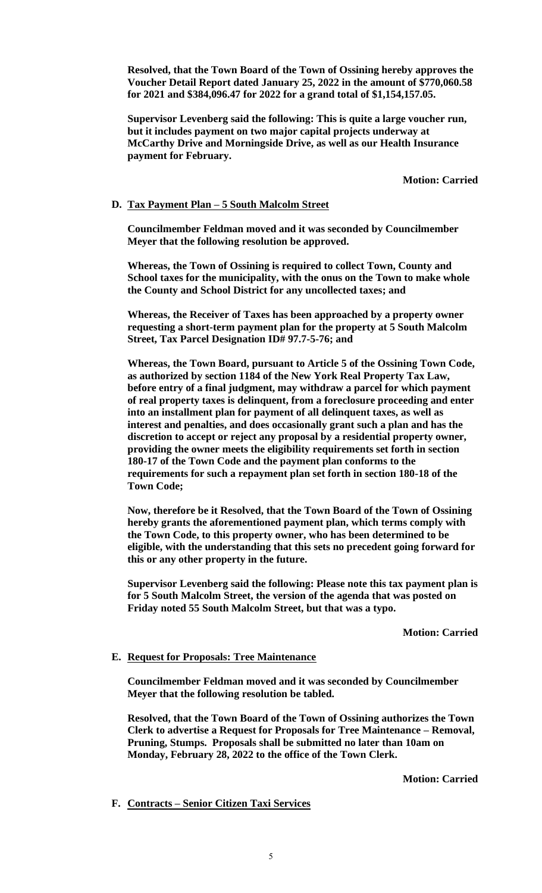**Resolved, that the Town Board of the Town of Ossining hereby approves the Voucher Detail Report dated January 25, 2022 in the amount of \$770,060.58 for 2021 and \$384,096.47 for 2022 for a grand total of \$1,154,157.05.**

**Supervisor Levenberg said the following: This is quite a large voucher run, but it includes payment on two major capital projects underway at McCarthy Drive and Morningside Drive, as well as our Health Insurance payment for February.** 

**Motion: Carried**

### **D. Tax Payment Plan – 5 South Malcolm Street**

**Councilmember Feldman moved and it was seconded by Councilmember Meyer that the following resolution be approved.**

**Whereas, the Town of Ossining is required to collect Town, County and School taxes for the municipality, with the onus on the Town to make whole the County and School District for any uncollected taxes; and** 

**Whereas, the Receiver of Taxes has been approached by a property owner requesting a short-term payment plan for the property at 5 South Malcolm Street, Tax Parcel Designation ID# 97.7-5-76; and** 

**Whereas, the Town Board, pursuant to Article 5 of the Ossining Town Code, as authorized by section 1184 of the New York Real Property Tax Law, before entry of a final judgment, may withdraw a parcel for which payment of real property taxes is delinquent, from a foreclosure proceeding and enter into an installment plan for payment of all delinquent taxes, as well as interest and penalties, and does occasionally grant such a plan and has the discretion to accept or reject any proposal by a residential property owner, providing the owner meets the eligibility requirements set forth in section 180-17 of the Town Code and the payment plan conforms to the requirements for such a repayment plan set forth in section 180-18 of the Town Code;** 

**Now, therefore be it Resolved, that the Town Board of the Town of Ossining hereby grants the aforementioned payment plan, which terms comply with the Town Code, to this property owner, who has been determined to be eligible, with the understanding that this sets no precedent going forward for this or any other property in the future.**

**Supervisor Levenberg said the following: Please note this tax payment plan is for 5 South Malcolm Street, the version of the agenda that was posted on Friday noted 55 South Malcolm Street, but that was a typo.** 

**Motion: Carried**

### **E. Request for Proposals: Tree Maintenance**

**Councilmember Feldman moved and it was seconded by Councilmember Meyer that the following resolution be tabled.**

**Resolved, that the Town Board of the Town of Ossining authorizes the Town Clerk to advertise a Request for Proposals for Tree Maintenance – Removal, Pruning, Stumps. Proposals shall be submitted no later than 10am on Monday, February 28, 2022 to the office of the Town Clerk.** 

**Motion: Carried**

**F. Contracts – Senior Citizen Taxi Services**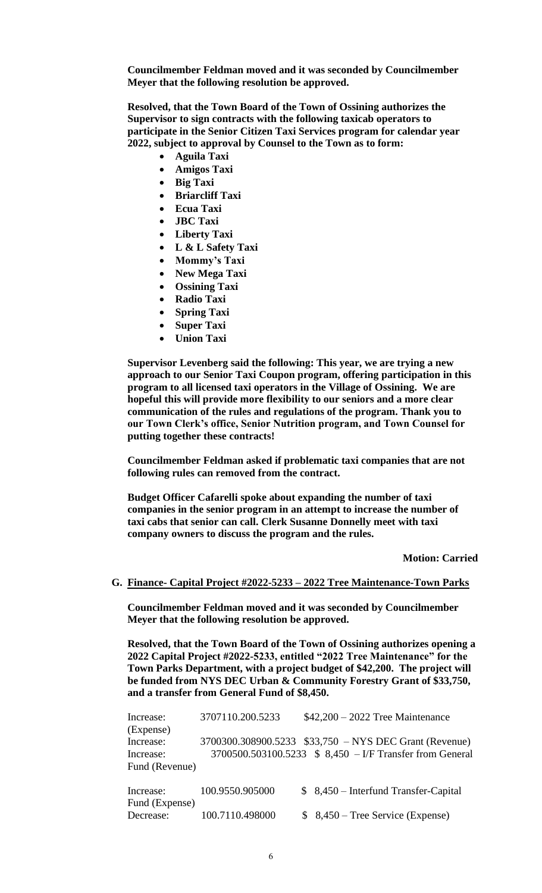**Councilmember Feldman moved and it was seconded by Councilmember Meyer that the following resolution be approved.**

**Resolved, that the Town Board of the Town of Ossining authorizes the Supervisor to sign contracts with the following taxicab operators to participate in the Senior Citizen Taxi Services program for calendar year 2022, subject to approval by Counsel to the Town as to form:**

- **Aguila Taxi**
- **Amigos Taxi**
- **Big Taxi**
- **Briarcliff Taxi**
- **Ecua Taxi**
- **JBC Taxi**
- **Liberty Taxi**
- **L & L Safety Taxi**
- **Mommy's Taxi**
- **New Mega Taxi**
- **Ossining Taxi**
- **Radio Taxi**
- **Spring Taxi**
- **Super Taxi**
- **Union Taxi**

**Supervisor Levenberg said the following: This year, we are trying a new approach to our Senior Taxi Coupon program, offering participation in this program to all licensed taxi operators in the Village of Ossining. We are hopeful this will provide more flexibility to our seniors and a more clear communication of the rules and regulations of the program. Thank you to our Town Clerk's office, Senior Nutrition program, and Town Counsel for putting together these contracts!**

**Councilmember Feldman asked if problematic taxi companies that are not following rules can removed from the contract.**

**Budget Officer Cafarelli spoke about expanding the number of taxi companies in the senior program in an attempt to increase the number of taxi cabs that senior can call. Clerk Susanne Donnelly meet with taxi company owners to discuss the program and the rules.**

**Motion: Carried**

#### **G. Finance- Capital Project #2022-5233 – 2022 Tree Maintenance-Town Parks**

**Councilmember Feldman moved and it was seconded by Councilmember Meyer that the following resolution be approved.**

**Resolved, that the Town Board of the Town of Ossining authorizes opening a 2022 Capital Project #2022-5233, entitled "2022 Tree Maintenance" for the Town Parks Department, with a project budget of \$42,200. The project will be funded from NYS DEC Urban & Community Forestry Grant of \$33,750, and a transfer from General Fund of \$8,450.**

| Increase:      | 3707110.200.5233 | $$42,200 - 2022$ Tree Maintenance                        |
|----------------|------------------|----------------------------------------------------------|
| (Expense)      |                  |                                                          |
| Increase:      |                  | 3700300.308900.5233 \$33,750 - NYS DEC Grant (Revenue)   |
| Increase:      |                  | 3700500.503100.5233 \$ 8,450 – I/F Transfer from General |
| Fund (Revenue) |                  |                                                          |
| Increase:      | 100.9550.905000  | $$8,450$ – Interfund Transfer-Capital                    |
| Fund (Expense) |                  |                                                          |
| Decrease:      | 100.7110.498000  | $$8,450$ – Tree Service (Expense)                        |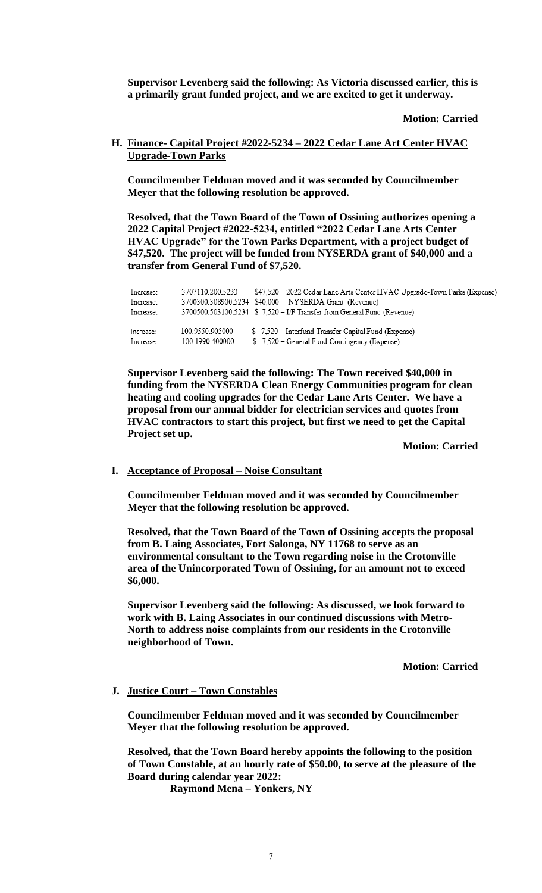**Supervisor Levenberg said the following: As Victoria discussed earlier, this is a primarily grant funded project, and we are excited to get it underway.**

**Motion: Carried**

**H. Finance- Capital Project #2022-5234 – 2022 Cedar Lane Art Center HVAC Upgrade-Town Parks**

**Councilmember Feldman moved and it was seconded by Councilmember Meyer that the following resolution be approved.**

**Resolved, that the Town Board of the Town of Ossining authorizes opening a 2022 Capital Project #2022-5234, entitled "2022 Cedar Lane Arts Center HVAC Upgrade" for the Town Parks Department, with a project budget of \$47,520. The project will be funded from NYSERDA grant of \$40,000 and a transfer from General Fund of \$7,520.**

| Increase:<br>Increase:<br>Increase: | 3707110.200.5233 | \$47,520 - 2022 Cedar Lane Arts Center HVAC Upgrade-Town Parks (Expense)<br>3700300.308900.5234 \$40,000 - NYSERDA Grant (Revenue)<br>3700500.503100.5234 \$ 7,520 - I/F Transfer from General Fund (Revenue) |
|-------------------------------------|------------------|---------------------------------------------------------------------------------------------------------------------------------------------------------------------------------------------------------------|
| Increase:                           | 100.9550.905000  | \$7.520 – Interfund Transfer-Capital Fund (Expense)                                                                                                                                                           |
| Increase:                           | 100.1990.400000  | \$7,520 – General Fund Contingency (Expense)                                                                                                                                                                  |

**Supervisor Levenberg said the following: The Town received \$40,000 in funding from the NYSERDA Clean Energy Communities program for clean heating and cooling upgrades for the Cedar Lane Arts Center. We have a proposal from our annual bidder for electrician services and quotes from HVAC contractors to start this project, but first we need to get the Capital Project set up.**

**Motion: Carried**

### **I. Acceptance of Proposal – Noise Consultant**

**Councilmember Feldman moved and it was seconded by Councilmember Meyer that the following resolution be approved.**

**Resolved, that the Town Board of the Town of Ossining accepts the proposal from B. Laing Associates, Fort Salonga, NY 11768 to serve as an environmental consultant to the Town regarding noise in the Crotonville area of the Unincorporated Town of Ossining, for an amount not to exceed \$6,000.**

**Supervisor Levenberg said the following: As discussed, we look forward to work with B. Laing Associates in our continued discussions with Metro-North to address noise complaints from our residents in the Crotonville neighborhood of Town.**

**Motion: Carried**

### **J. Justice Court – Town Constables**

**Councilmember Feldman moved and it was seconded by Councilmember Meyer that the following resolution be approved.**

**Resolved, that the Town Board hereby appoints the following to the position of Town Constable, at an hourly rate of \$50.00, to serve at the pleasure of the Board during calendar year 2022:**

 **Raymond Mena – Yonkers, NY**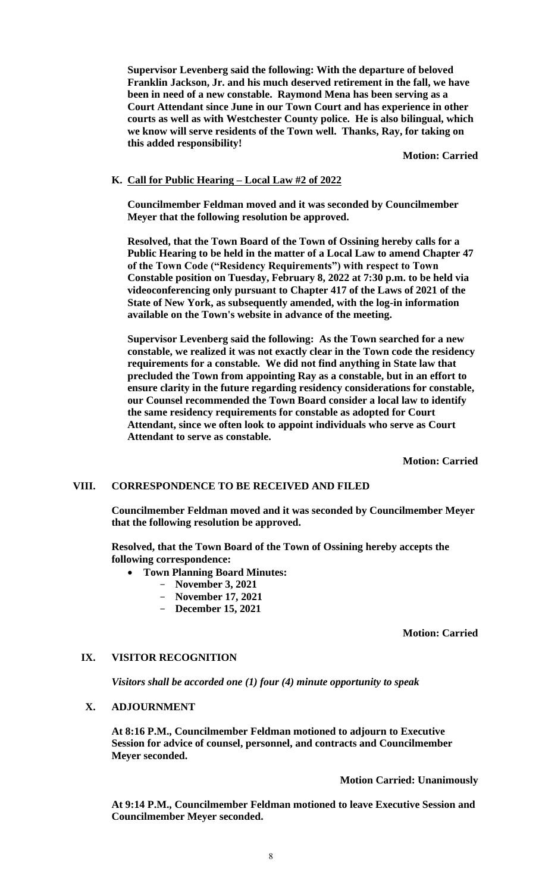**Supervisor Levenberg said the following: With the departure of beloved Franklin Jackson, Jr. and his much deserved retirement in the fall, we have been in need of a new constable. Raymond Mena has been serving as a Court Attendant since June in our Town Court and has experience in other courts as well as with Westchester County police. He is also bilingual, which we know will serve residents of the Town well. Thanks, Ray, for taking on this added responsibility!**

**Motion: Carried**

### **K. Call for Public Hearing – Local Law #2 of 2022**

**Councilmember Feldman moved and it was seconded by Councilmember Meyer that the following resolution be approved.**

**Resolved, that the Town Board of the Town of Ossining hereby calls for a Public Hearing to be held in the matter of a Local Law to amend Chapter 47 of the Town Code ("Residency Requirements") with respect to Town Constable position on Tuesday, February 8, 2022 at 7:30 p.m. to be held via videoconferencing only pursuant to Chapter 417 of the Laws of 2021 of the State of New York, as subsequently amended, with the log-in information available on the Town's website in advance of the meeting.**

**Supervisor Levenberg said the following: As the Town searched for a new constable, we realized it was not exactly clear in the Town code the residency requirements for a constable. We did not find anything in State law that precluded the Town from appointing Ray as a constable, but in an effort to ensure clarity in the future regarding residency considerations for constable, our Counsel recommended the Town Board consider a local law to identify the same residency requirements for constable as adopted for Court Attendant, since we often look to appoint individuals who serve as Court Attendant to serve as constable.** 

**Motion: Carried**

#### **VIII. CORRESPONDENCE TO BE RECEIVED AND FILED**

**Councilmember Feldman moved and it was seconded by Councilmember Meyer that the following resolution be approved.**

**Resolved, that the Town Board of the Town of Ossining hereby accepts the following correspondence:**

- **Town Planning Board Minutes:**
	- **November 3, 2021**
	- **November 17, 2021**
	- **December 15, 2021**

**Motion: Carried**

### **IX. VISITOR RECOGNITION**

*Visitors shall be accorded one (1) four (4) minute opportunity to speak*

### **X. ADJOURNMENT**

**At 8:16 P.M., Councilmember Feldman motioned to adjourn to Executive Session for advice of counsel, personnel, and contracts and Councilmember Meyer seconded.**

**Motion Carried: Unanimously**

**At 9:14 P.M., Councilmember Feldman motioned to leave Executive Session and Councilmember Meyer seconded.**